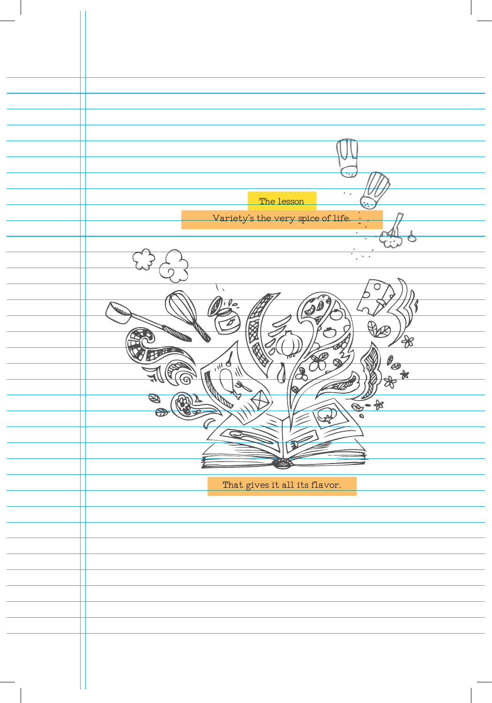| $\overline{\mathcal{L}}$<br>$\sigma$                   |
|--------------------------------------------------------|
| The lesson<br>Variety's the very spice of life.        |
| ÷.                                                     |
| $\sqrt{2\pi}$                                          |
| $\bar{\chi}$<br>$\sqrt{2}$                             |
| $\phi$                                                 |
| $\frac{1}{\sqrt{2}}$<br>TIME                           |
| $\frac{\partial}{\partial x}$<br>ॐ<br>Ο                |
| $\frac{1}{\sqrt{2}}$<br>$\mathscr{B}$<br>$\bm{\Theta}$ |
|                                                        |
|                                                        |
| That gives it all its flavor.                          |
|                                                        |
|                                                        |
|                                                        |
|                                                        |
|                                                        |
|                                                        |
|                                                        |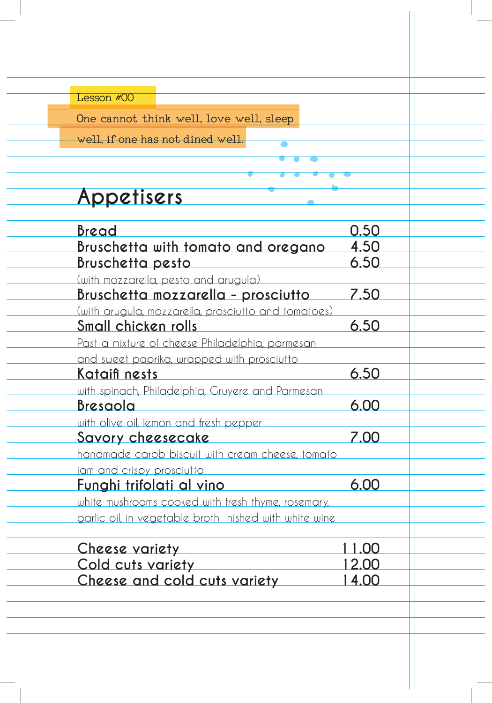| SSON #<br>∊ | L. |
|-------------|----|
|             |    |

One cannot think well, love well, sleep

well, if one has not dined well.

# **Appetisers**

| Bread                                                 | 0.50  |
|-------------------------------------------------------|-------|
| Bruschetta with tomato and oregano                    | 4.50  |
| <u>Bruschetta pesto</u>                               | 6.50  |
| (with mozzarella, pesto and arugula)                  |       |
| <b>Bruschetta mozzarella - prosciutto</b>             | 7.50  |
| (with arugula, mozzarella, prosciutto and tomatoes)   |       |
| Small chicken rolls                                   | 6.50  |
| Past a mixture of cheese Philadelphia, parmesan       |       |
| and sweet paprika, wrapped with prosciutto            |       |
| Kataifi nests                                         | 6.50  |
| with spinach, Philadelphia, Gruyere and Parmesan      |       |
| <b>Bresaola</b>                                       | 6.00  |
| with olive oil, lemon and fresh pepper                |       |
| Savory cheesecake                                     | 7.00  |
| handmade carob biscuit with cream cheese, tomato      |       |
| jam and crispy prosciutto                             |       |
| <u>Funghi trifolati al vino Lum</u>                   | 6.00  |
| white mushrooms cooked with fresh thyme, rosemary,    |       |
| garlic oil, in vegetable broth nished with white wine |       |
| Cheese variety                                        | 1.00  |
| Cold cuts variety                                     | 12.00 |
| Cheese and cold cuts variety                          | 14.00 |
|                                                       |       |
|                                                       |       |
|                                                       |       |
|                                                       |       |

L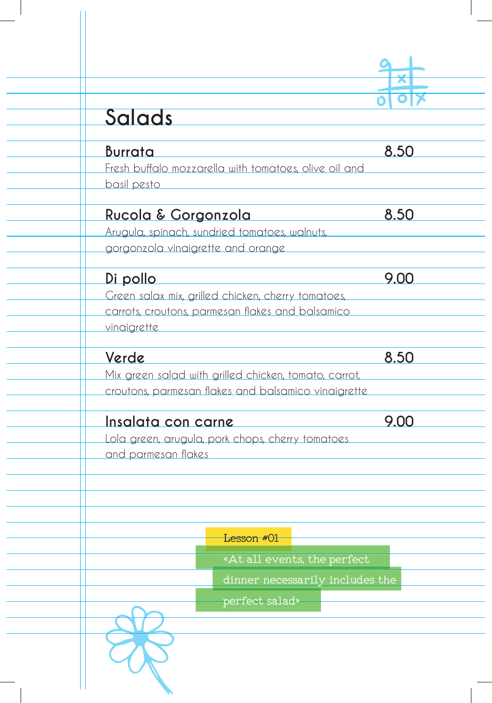| Salads                                                               |      |
|----------------------------------------------------------------------|------|
| <b>Burrata</b>                                                       | 8.50 |
| Fresh buffalo mozzarella with tomatoes, olive oil and<br>basil pesto |      |
| Rucola & Gorgonzola                                                  | 8.50 |
| Arugula, spinach, sundried tomatoes, walnuts,                        |      |
| gorgonzola vinaigrette and orange                                    |      |
| <u>Di pollo</u>                                                      | 9.00 |
| Green salax mix, grilled chicken, cherry tomatoes,                   |      |
| carrots, croutons, parmesan flakes and balsamico<br>vinaigrette      |      |
| Verde                                                                | 8.50 |
| Mix green salad with grilled chicken, tomato, carrot,                |      |
| croutons, parmesan flakes and balsamico vinaigrette                  |      |
| Insalata con carne                                                   | 9.00 |
| Lola green, arugula, pork chops, cherry tomatoes                     |      |
| and parmesan flakes                                                  |      |
| Lesson #01                                                           |      |
| «At all events, the perfect                                          |      |
| dinner necessarily includes the                                      |      |
| perfect salad»                                                       |      |
|                                                                      |      |

 $\overline{\phantom{a}}$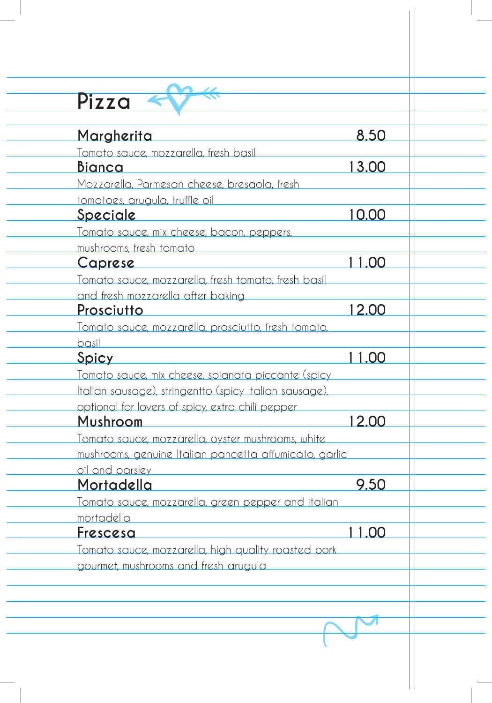| <u>Margherita</u>                                          | 8.50  |
|------------------------------------------------------------|-------|
| Tomato sauce, mozzarella, fresh basil                      |       |
| <b>Bianca</b>                                              | 13.00 |
| Mozzarella, Parmesan cheese, bresaola, fresh               |       |
| tomatoes, arugula, truffle oil                             |       |
| <u>Speciale</u>                                            | 10.00 |
| Tomato sauce, mix cheese, bacon, peppers,                  |       |
| mushrooms, fresh tomato                                    |       |
| <u>Caprese</u>                                             | 11.00 |
| Tomato sauce, mozzarella, fresh tomato, fresh basil        |       |
| and fresh mozzarella after baking                          |       |
| Prosciutto                                                 | 12.00 |
| <u>Tomato sauce, mozzarella, prosciutto, fresh tomato,</u> |       |
| basil                                                      |       |
| Spicy                                                      | 11.00 |
| <u>Tomato sauce, mix cheese, spianata piccante (spicy</u>  |       |
| Italian sausage), stringentto (spicy Italian sausage),     |       |
| optional for lovers of spicy, extra chili pepper           |       |
| <b>Mushroom</b>                                            | 12.00 |
| Tomato sauce, mozzarella, oyster mushrooms, white          |       |
| mushrooms, genuine Italian pancetta affumicato, garlic     |       |
| oil and parsley<br><u>Mortadella</u>                       | 9.50  |
| <u>Tomato sauce, mozzarella, green pepper and italian</u>  |       |
| mortadella                                                 |       |
| Frescesa                                                   | 11.00 |
| Tomato sauce, mozzarella, high quality roasted pork        |       |
|                                                            |       |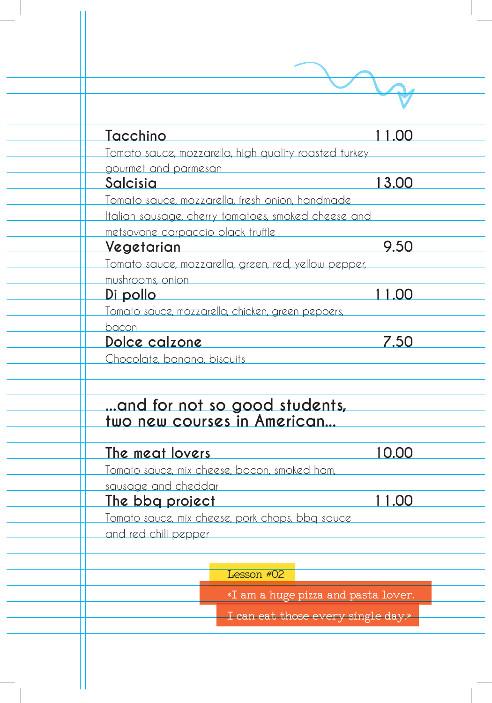| <u>Tacchino</u>                                                          | 11.00                               |
|--------------------------------------------------------------------------|-------------------------------------|
| Tomato sauce, mozzarella, high quality roasted turkey                    |                                     |
| gourmet and parmesan                                                     |                                     |
| Salcisia                                                                 | 13.00                               |
| Tomato sauce, mozzarella, fresh onion, handmade                          |                                     |
| Italian sausage, cherry tomatoes, smoked cheese and                      |                                     |
| metsovone carpaccio black truffle<br>Vegetarian                          | 9.50                                |
|                                                                          |                                     |
| Tomato sauce, mozzarella, green, red, yellow pepper,<br>mushrooms, onion |                                     |
| Di pollo                                                                 | 11.00                               |
| Tomato sauce, mozzarella, chicken, green peppers,                        |                                     |
| bacon                                                                    |                                     |
| Dolce calzone                                                            | 7.50                                |
| Chocolate, banana, biscuits                                              |                                     |
| and for not so good students,<br>two new courses in American             |                                     |
| The meat lovers                                                          | 10.00                               |
| Tomato sauce, mix cheese, bacon, smoked ham,                             |                                     |
| sausage and cheddar                                                      |                                     |
| The bbg project                                                          | 11.00                               |
| Tomato sauce, mix cheese, pork chops, bbq sauce                          |                                     |
| and red chili pepper                                                     |                                     |
|                                                                          |                                     |
| Lesson #02                                                               |                                     |
|                                                                          | «I am a huge pizza and pasta lover. |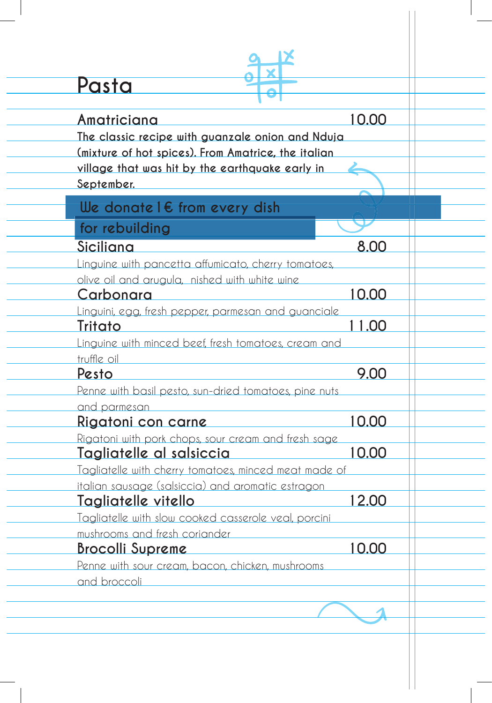| Pasta                                                                 |       |
|-----------------------------------------------------------------------|-------|
| <u>Amatriciana</u>                                                    | 10.00 |
| The classic recipe with guanzale onion and Nduja                      |       |
| (mixture of hot spices). From Amatrice, the italian                   |       |
| village that was hit by the earthquake early in                       |       |
| September.                                                            |       |
| We donate $l \in$ from every dish                                     |       |
| for rebuilding                                                        |       |
| Siciliana                                                             | 8.00  |
| <u>Linguine with pancetta affumicato, cherry tomatoes,</u>            |       |
| olive oil and arugula, nished with white wine                         |       |
| Carbonara                                                             | 10.00 |
| Linguini, egg, fresh pepper, parmesan and guanciale                   |       |
| Tritato                                                               | 11.00 |
| Linguine with minced beef, fresh tomatoes, cream and                  |       |
| truffle oil                                                           | 9.00  |
| Pesto                                                                 |       |
| Penne with basil pesto, sun-dried tomatoes, pine nuts<br>and parmesan |       |
| <u>Rigatoni con carne</u>                                             | 10.00 |
| Rigatoni with pork chops, sour cream and fresh sage                   |       |
| Tagliatelle al salsiccia                                              | 10.00 |
| Tagliatelle with cherry tomatoes, minced meat made of                 |       |
| italian sausage (salsiccia) and aromatic estragon                     |       |
| Tagliatelle vitello                                                   | 12.00 |
| Tagliatelle with slow cooked casserole veal, porcini                  |       |
| mushrooms and fresh coriander                                         |       |
| <b>Brocolli Supreme</b>                                               | 10.00 |
| Penne with sour cream, bacon, chicken, mushrooms<br>and broccoli      |       |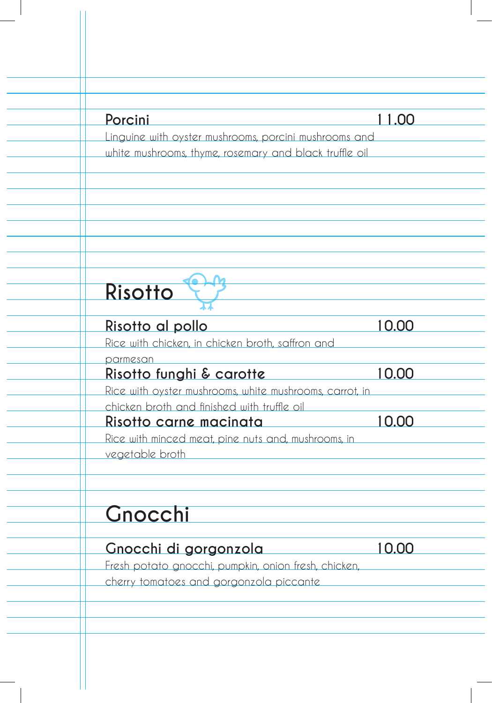| Porcini                                                                       | 11.00              |
|-------------------------------------------------------------------------------|--------------------|
| Linguine with oyster mushrooms, porcini mushrooms and                         |                    |
| white mushrooms, thyme, rosemary and black truffle oil                        |                    |
|                                                                               |                    |
|                                                                               |                    |
|                                                                               |                    |
| Risotto                                                                       |                    |
|                                                                               |                    |
| Risotto al pollo                                                              | 10.00              |
| Rice with chicken, in chicken broth, saffron and                              |                    |
| parmesan<br>Risotto funghi & carotte                                          | 10.00              |
| Rice with oyster mushrooms, white mushrooms, carrot, in                       |                    |
| chicken broth and finished with truffle oil                                   |                    |
| <u>Risotto carne macinata</u>                                                 | 10.00              |
| Rice with minced meat, pine nuts and, mushrooms, in<br>vegetable broth        |                    |
|                                                                               |                    |
| Gnocchi                                                                       |                    |
|                                                                               |                    |
| Gnocchi di gorgonzola<br>Fresh potato gnocchi, pumpkin, onion fresh, chicken, | $\overline{10.00}$ |
|                                                                               |                    |

 $\overline{\mathbf{r}}$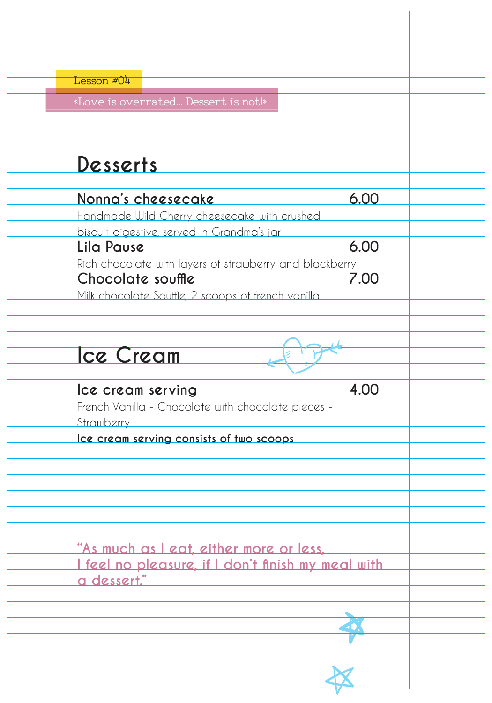| Lesson #04                                                                                                                         |      |
|------------------------------------------------------------------------------------------------------------------------------------|------|
| «Love is overrated Dessert is not!»                                                                                                |      |
| Desserts                                                                                                                           |      |
| Nonna's cheesecake<br>Handmade Wild Cherry cheesecake with crushed                                                                 | 6.00 |
| biscuit digestive, served in Grandma's jar<br>Lila Pause                                                                           | 6.00 |
| Rich chocolate with layers of strawberry and blackberry<br>Chocolate souffle<br>Milk chocolate Souffle, 2 scoops of french vanilla | 7.00 |
| <b>Ice Cream</b>                                                                                                                   |      |
| Ice cream serving<br>French Vanilla - Chocolate with chocolate pieces -<br>Strawberry                                              | 4.00 |
| Ice cream serving consists of two scoops                                                                                           |      |
|                                                                                                                                    |      |
| "As much as I eat, either more or less,<br><u>I feel no pleasure, if I don't finish my meal with </u><br>a dessert."               |      |
|                                                                                                                                    |      |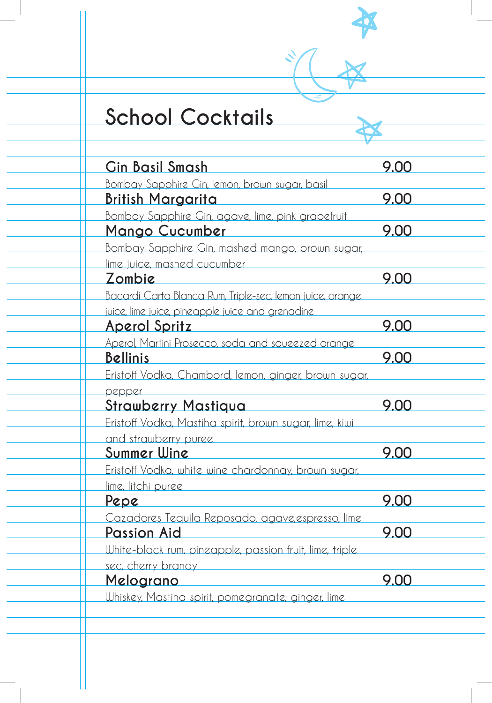# **School Cocktails**

| <b>Gin Basil Smash</b>                                    | 9.00 |
|-----------------------------------------------------------|------|
| Bombay Sapphire Cin, lemon, brown sugar, basil            |      |
| <u> British Margarita —</u>                               | 9.00 |
| Bombay Sapphire Cin, agave, lime, pink grapefruit         |      |
| <u> Mango Cucumber</u>                                    | 9.00 |
| Bombay Sapphire Gin, mashed mango, brown sugar,           |      |
| lime juice, mashed cucumber                               |      |
| Zombie                                                    | 9.00 |
| Bacardi Carta Blanca Rum, Triple-sec, lemon juice, orange |      |
| juice, lime juice, pineapple juice and grenadine          |      |
| <u>Aperol Spritz</u>                                      | 9.00 |
| Aperol, Martini Prosecco, soda and squeezed orange        |      |
| <b>Bellinis</b>                                           | 9.00 |
| Eristoff Vodka, Chambord, lemon, ginger, brown sugar,     |      |
| pepper                                                    |      |
| <b>Strawberry Mastiqua</b>                                | 9.00 |
| Eristoff Vodka, Mastiha spirit, brown sugar, lime, kiwi   |      |
| and strawberry puree                                      |      |
| Summer Wine                                               | 9.00 |
| Eristoff Vodka, white wine chardonnay, brown sugar,       |      |
| lime, litchi puree                                        |      |
| Pepe                                                      | 9.00 |
| Cazadores Tequila Reposado, agave, espresso, lime         |      |
| Passion Aid                                               | 9.00 |
| White-black rum, pineapple, passion fruit, lime, triple   |      |
| sec, cherry brandy                                        |      |
| <u>Melograno</u>                                          | 9.00 |
| Whiskey, Mastiha spirit, pomegranate, ginger, lime        |      |
|                                                           |      |

N<br>X<br>X

 $\mathcal{L}$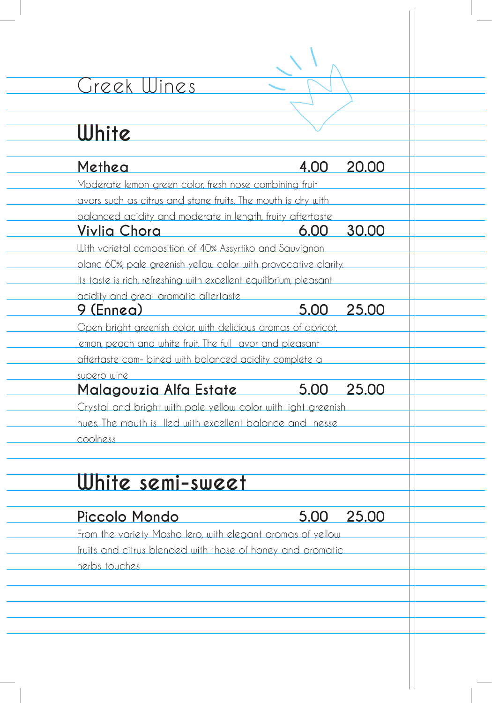### Greek Wines

#### **White Methea 4.00 20.00** Moderate lemon green color, fresh nose combining fruit avors such as citrus and stone fruits. The mouth is dry with balanced acidity and moderate in length, fruity aftertaste **Vivlia Chora 6.00 30.00**  With varietal composition of 40% Assyrtiko and Sauvignon blanc 60%, pale greenish yellow color with provocative clarity. Its taste is rich, refreshing with excellent equilibrium, pleasant acidity and great aromatic aftertaste **9 (Ennea) 5.00 25.00**  Open bright greenish color, with delicious aromas of apricot, lemon, peach and white fruit. The full avor and pleasant aftertaste com- bined with balanced acidity complete a superb wine **Malagouzia Alfa Estate 5.00 25.00**  Crystal and bright with pale yellow color with light greenish hues. The mouth is lled with excellent balance and nesse coolness **White semi-sweet Piccolo Mondo 5.00 25.00**  From the variety Mosho lero, with elegant aromas of yellow fruits and citrus blended with those of honey and aromatic herbs touches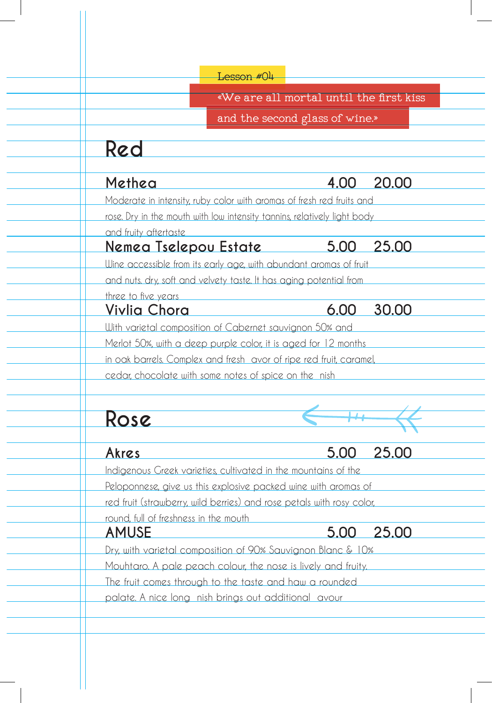|                                            | Lesson #04                                                               |              |
|--------------------------------------------|--------------------------------------------------------------------------|--------------|
|                                            | «We are all mortal until the first kiss                                  |              |
|                                            | and the second glass of wine.»                                           |              |
| Red                                        |                                                                          |              |
| Methea                                     | 4.00                                                                     | 20.00        |
|                                            | Moderate in intensity, ruby color with aromas of fresh red fruits and    |              |
|                                            | rose. Dry in the mouth with low intensity tannins, relatively light body |              |
| and fruity aftertaste                      |                                                                          |              |
| <u>Nemea Tselepou Estate</u>               | $5.00\quad 25.00$                                                        |              |
|                                            | Wine accessible from its early age, with abundant aromas of fruit        |              |
|                                            | and nuts. dry, soft and velvety taste. It has aging potential from       |              |
| three to five years<br><u>Vivlia Chora</u> | 6.00                                                                     | 30.00        |
|                                            | With varietal composition of Cabernet sauvignon 50% and                  |              |
|                                            | Merlot 50%, with a deep purple color, it is aged for 12 months           |              |
|                                            | in oak barrels. Complex and fresh avor of ripe red fruit, caramel,       |              |
|                                            | cedar, chocolate with some notes of spice on the nish                    |              |
| Rose                                       |                                                                          |              |
|                                            | 5.00                                                                     | <u>25.00</u> |
| Akres                                      | Indigenous Greek varieties, cultivated in the mountains of the           |              |
|                                            | Peloponnese, give us this explosive packed wine with aromas of           |              |
|                                            | red fruit (strawberry, wild berries) and rose petals with rosy color,    |              |
| round, full of freshness in the mouth      |                                                                          |              |
| <u>AMUSE</u>                               | <u>5.00</u>                                                              | 25.00        |
|                                            | Dry, with varietal composition of 90% Sauvignon Blanc & 10%              |              |
|                                            | Mouhtaro. A pale peach colour, the nose is lively and fruity.            |              |
|                                            | The fruit comes through to the taste and haw a rounded                   |              |
|                                            | palate. A nice long nish brings out additional avour                     |              |

 $^{-}$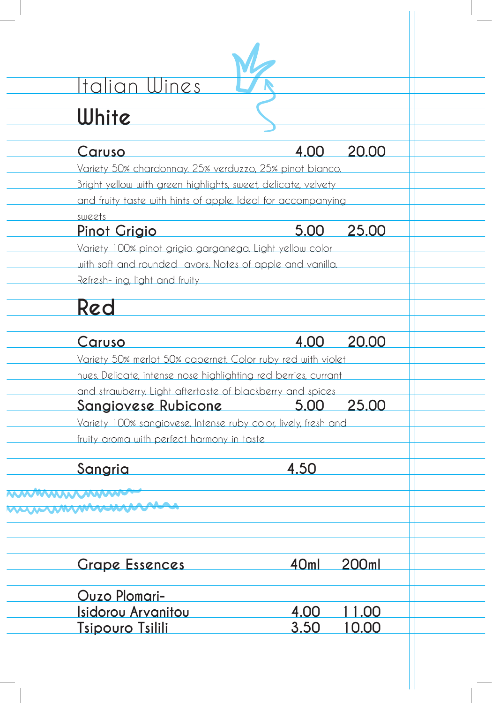# Italian Wines

## **White**

| White                                                          |             |               |
|----------------------------------------------------------------|-------------|---------------|
| Caruso                                                         | 4.00        | 20.00         |
| Variety 50% chardonnay. 25% verduzzo, 25% pinot bianco.        |             |               |
| Bright yellow with green highlights, sweet, delicate, velvety  |             |               |
| and fruity taste with hints of apple. Ideal for accompanying   |             |               |
| sweets                                                         |             |               |
| <u>Pinot Grigio</u>                                            | 5.00        | 25.00         |
| Variety 100% pinot grigio garganega. Light yellow color        |             |               |
| with soft and rounded avors. Notes of apple and vanilla        |             |               |
| Refresh- ing, light and fruity                                 |             |               |
|                                                                |             |               |
| Red                                                            |             |               |
|                                                                |             |               |
| Caruso                                                         | 4.00        | 20.00         |
| Variety 50% merlot 50% cabernet. Color ruby red with violet    |             |               |
| hues. Delicate, intense nose highlighting red berries, currant |             |               |
| and strawberry. Light aftertaste of blackberry and spices      |             |               |
| Sangiovese Rubicone                                            | $\sim$ 5.00 | 25.00         |
| Variety 100% sangiovese. Intense ruby color, lively, fresh and |             |               |
| fruity aroma with perfect harmony in taste                     |             |               |
| Sangria                                                        | 4.50        |               |
|                                                                |             |               |
| wwwwwwww                                                       |             |               |
| mummmmmm                                                       |             |               |
|                                                                |             |               |
|                                                                |             |               |
| <b>Grape Essences</b>                                          | 40ml        | 200ml         |
|                                                                |             |               |
| <b>Ouzo Plomari-</b>                                           |             |               |
| <u>Isidorou Arvanitou</u>                                      | 4.00        | <u> 11.00</u> |
| <u>Tsipouro Tsilili</u>                                        | 3.50        | <u>10.00</u>  |
|                                                                |             |               |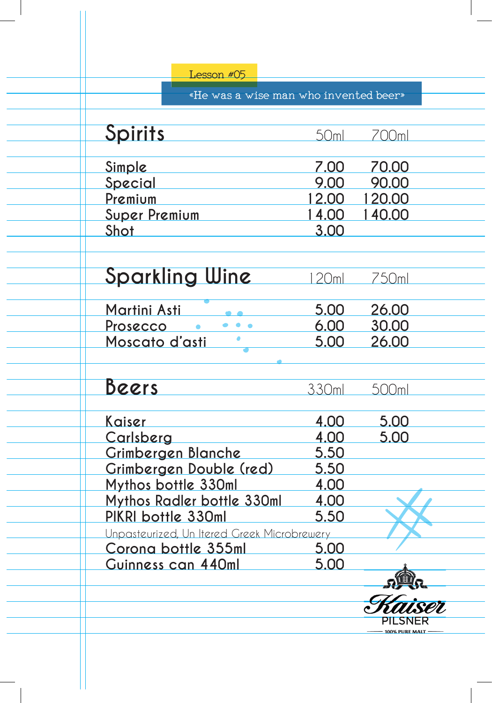| Lesson #05                                  |                  |                   |
|---------------------------------------------|------------------|-------------------|
| «He was a wise man who invented beer»       |                  |                   |
|                                             |                  |                   |
| Spirits                                     | 50 <sub>ml</sub> | 700ml             |
| Simple                                      | 7.00             | 70.00             |
| Special                                     | 9.00             | 90.00             |
| Premium                                     | 12.00            | 120.00            |
| <b>Super Premium</b>                        | 14.00            | 140.00            |
| <u>Shot</u>                                 | 3.00             |                   |
| <b>Sparkling Wine</b>                       | 20 <sub>ml</sub> | 750ml             |
| <u>Martini Asti</u>                         | 5.00             | 26.00             |
| $\bullet\bullet\bullet$<br><u>Prosecco</u>  | 6.00             | 30.00             |
| Moscato d'asti                              | 5.00             | <u>26.00</u>      |
|                                             |                  |                   |
| <u>Beers</u>                                | 330ml            | 500 <sub>ml</sub> |
| <u>Kaiser</u>                               | 4.00             | 5.00              |
| Carlsberg                                   | 4.00             | 5.00              |
| Grimbergen Blanche                          | 5.50             |                   |
| Grimbergen Double (red)                     | <u>5.50</u>      |                   |
| Mythos bottle 330ml                         | <u>4.00</u>      |                   |
| Mythos Radler bottle 330ml                  | 4.00             |                   |
| PIKRI bottle 330ml                          | 5.50             |                   |
| Unpasteurized, Un Itered Greek Microbrewery |                  |                   |
| Corona bottle 355ml                         | 5.00             |                   |
| Guinness can 440ml                          | 5.00             |                   |
|                                             |                  |                   |
|                                             |                  |                   |
|                                             |                  | PILSNER           |

 $\blacksquare$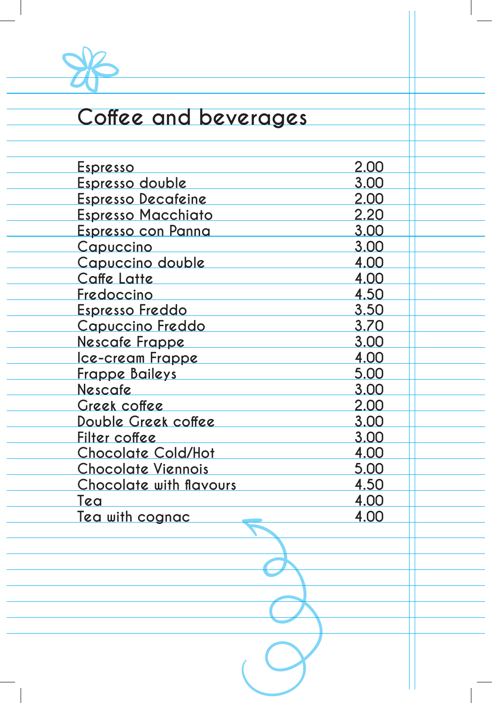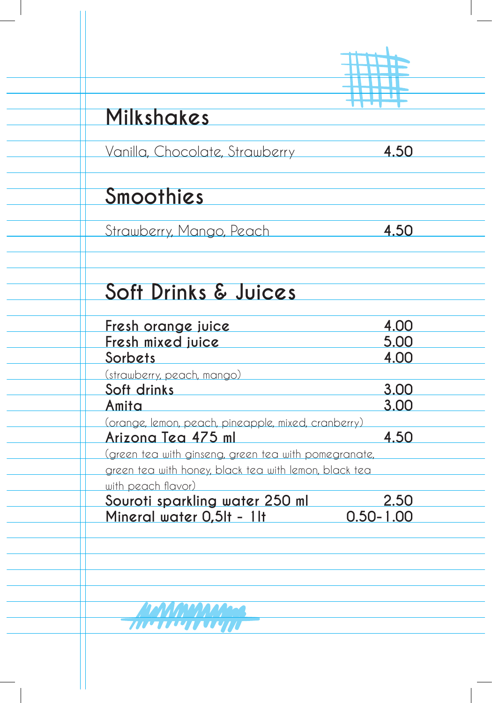| Milkshakes                                                                  |                       |  |  |
|-----------------------------------------------------------------------------|-----------------------|--|--|
| Vanilla, Chocolate, Strawberry <b>4.50</b>                                  |                       |  |  |
| Smoothies                                                                   |                       |  |  |
| Strawberry, Mango, Peach                                                    | 4.50                  |  |  |
| Soft Drinks & Juices                                                        |                       |  |  |
| Fresh orange juice                                                          | 4.00                  |  |  |
| Fresh mixed juice<br>Sorbets                                                | 5.00<br>4.00          |  |  |
| (strawberry, peach, mango)<br>Soft drinks                                   | 3.00                  |  |  |
| <u>Amita</u><br>(orange, lemon, peach, pineapple, mixed, cranberry)         | 3.00                  |  |  |
| Arizona Tea 475 ml<br>green tea with ginseng, green tea with pomegranate,   | 4.50                  |  |  |
| green tea with honey, black tea with lemon, black tea<br>with peach flavor) |                       |  |  |
| Souroti sparkling water 250 ml<br>Mineral water 0,5lt - 1lt                 | 2.50<br>$0.50 - 1.00$ |  |  |
|                                                                             |                       |  |  |
|                                                                             |                       |  |  |